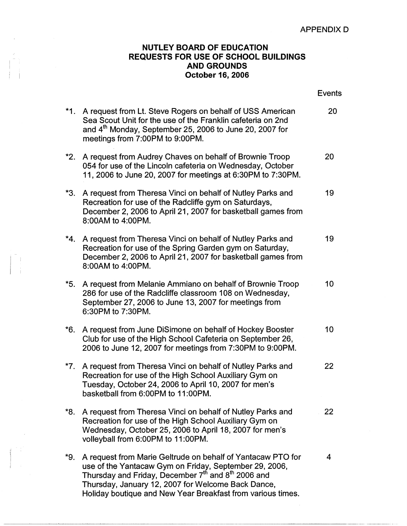## **NUTLEY BOARD OF EDUCATION REQUESTS FOR USE OF SCHOOL BUILDINGS AND GROUNDS**  ! I **October 16, 2006**

|     |                                           |                                                                                                                                                                                                                                                                                                                          | <b>Events</b> |
|-----|-------------------------------------------|--------------------------------------------------------------------------------------------------------------------------------------------------------------------------------------------------------------------------------------------------------------------------------------------------------------------------|---------------|
|     | meetings from 7:00PM to 9:00PM.           | *1. A request from Lt. Steve Rogers on behalf of USS American<br>Sea Scout Unit for the use of the Franklin cafeteria on 2nd<br>and 4 <sup>th</sup> Monday, September 25, 2006 to June 20, 2007 for                                                                                                                      | 20            |
|     |                                           | *2. A request from Audrey Chaves on behalf of Brownie Troop<br>054 for use of the Lincoln cafeteria on Wednesday, October<br>11, 2006 to June 20, 2007 for meetings at 6:30PM to 7:30PM.                                                                                                                                 | 20            |
|     | *3.<br>8:00AM to 4:00PM.                  | A request from Theresa Vinci on behalf of Nutley Parks and<br>Recreation for use of the Radcliffe gym on Saturdays,<br>December 2, 2006 to April 21, 2007 for basketball games from                                                                                                                                      | 19            |
|     | 8:00AM to 4:00PM.                         | *4. A request from Theresa Vinci on behalf of Nutley Parks and<br>Recreation for use of the Spring Garden gym on Saturday,<br>December 2, 2006 to April 21, 2007 for basketball games from                                                                                                                               | 19            |
|     | *5.<br>6:30PM to 7:30PM.                  | A request from Melanie Ammiano on behalf of Brownie Troop<br>286 for use of the Radcliffe classroom 108 on Wednesday,<br>September 27, 2006 to June 13, 2007 for meetings from                                                                                                                                           | 10            |
| *6. |                                           | A request from June DiSimone on behalf of Hockey Booster<br>Club for use of the High School Cafeteria on September 26,<br>2006 to June 12, 2007 for meetings from 7:30PM to 9:00PM.                                                                                                                                      | 10            |
|     | basketball from 6:00PM to 11:00PM.        | *7. A request from Theresa Vinci on behalf of Nutley Parks and<br>Recreation for use of the High School Auxiliary Gym on<br>Tuesday, October 24, 2006 to April 10, 2007 for men's                                                                                                                                        | 22            |
|     | *8.<br>volleyball from 6:00PM to 11:00PM. | A request from Theresa Vinci on behalf of Nutley Parks and<br>Recreation for use of the High School Auxiliary Gym on<br>Wednesday, October 25, 2006 to April 18, 2007 for men's                                                                                                                                          | 22            |
|     | *9.                                       | A request from Marie Geltrude on behalf of Yantacaw PTO for<br>use of the Yantacaw Gym on Friday, September 29, 2006,<br>Thursday and Friday, December 7 <sup>th</sup> and 8 <sup>th</sup> 2006 and<br>Thursday, January 12, 2007 for Welcome Back Dance,<br>Holiday boutique and New Year Breakfast from various times. | 4             |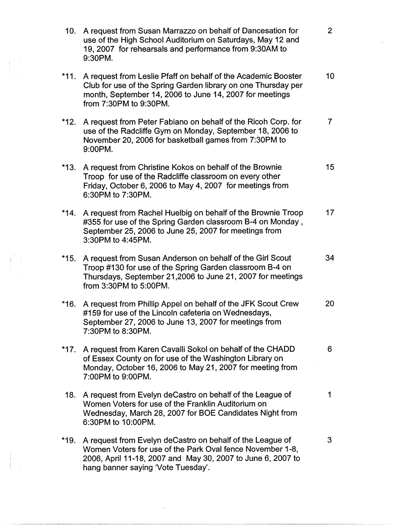10. A request from Susan Marrazzo on behalf of Dancesation for 2 use of the High School Auditorium on Saturdays, May 12 and 19, 2007 for rehearsals and performance from 9:30AM to 9:30PM. \*11. A request from Leslie Pfaff on behalf of the Academic Booster 10 Club for use of the Spring Garden library on one Thursday per month, September 14, 2006 to June 14, 2007 for meetings from 7:30PM to 9:30PM. \*12. A request from Peter Fabiano on behalf of the Ricoh Corp. for 7 use of the Radcliffe Gym on Monday, September 18, 2006 to November 20, 2006 for basketball games from 7:30PM to 9:00PM. \*13. A request from Christine Kokos on behalf of the Brownie 15 Troop for use of the Radcliffe classroom on every other Friday, October 6, 2006 to May 4, 2007 for meetings from 6:30PM to 7:30PM. \*14. A request from Rachel Huelbig on behalf of the Brownie Troop 17 #355 for use of the Spring Garden classroom B-4 on Monday , September 25, 2006 to June 25, 2007 for meetings from 3:30PM to 4:45PM. \*15. A request from Susan Anderson on behalf of the Girl Scout 34 Troop #130 for use of the Spring Garden classroom B-4 on Thursdays, September 21,2006 to June 21, 2007 for meetings from 3:30PM to 5:00PM. \*16. A request from Phillip Appel on behalf of the JFK Scout Crew 20 #159 for use of the Lincoln cafeteria on Wednesdays, September 27, 2006 to June 13, 2007 for meetings from 7:30PM to 8:30PM. \*17. A request from Karen Cavalli Sokol on behalf of the CHADD 6 of Essex County on for use of the Washington Library on Monday, October 16, 2006 to May 21, 2007 for meeting from 7:00PM to 9:00PM. 18. A request from Evelyn deCastro on behalf of the League of 1 Women Voters for use of the Franklin Auditorium on Wednesday, March 28, 2007 for BOE Candidates Night from 6:30PM to 10:00PM. \*19. A request from Evelyn deCastro on behalf of the League of 3 Women Voters for use of the Park Oval fence November 1-8, 2006, April 11-18, 2007 and May 30, 2007 to June 6, 2007 to hang banner saying 'Vote Tuesday'.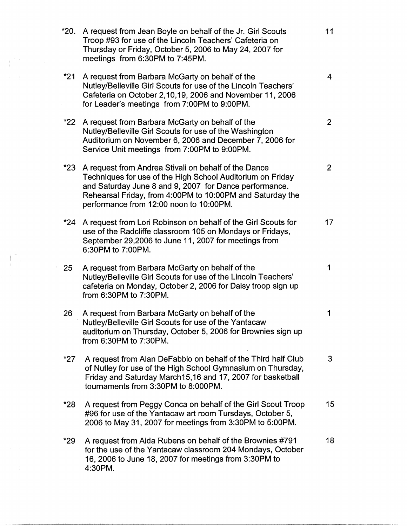| *20. | A request from Jean Boyle on behalf of the Jr. Girl Scouts<br>Troop #93 for use of the Lincoln Teachers' Cafeteria on<br>Thursday or Friday, October 5, 2006 to May 24, 2007 for<br>meetings from 6:30PM to 7:45PM.                                                                  | 11             |
|------|--------------------------------------------------------------------------------------------------------------------------------------------------------------------------------------------------------------------------------------------------------------------------------------|----------------|
| *21  | A request from Barbara McGarty on behalf of the<br>Nutley/Belleville Girl Scouts for use of the Lincoln Teachers'<br>Cafeteria on October 2,10,19, 2006 and November 11, 2006<br>for Leader's meetings from 7:00PM to 9:00PM.                                                        | 4              |
| *22  | A request from Barbara McGarty on behalf of the<br>Nutley/Belleville Girl Scouts for use of the Washington<br>Auditorium on November 6, 2006 and December 7, 2006 for<br>Service Unit meetings from 7:00PM to 9:00PM.                                                                | $\overline{2}$ |
| *23  | A request from Andrea Stivali on behalf of the Dance<br>Techniques for use of the High School Auditorium on Friday<br>and Saturday June 8 and 9, 2007 for Dance performance.<br>Rehearsal Friday, from 4:00PM to 10:00PM and Saturday the<br>performance from 12:00 noon to 10:00PM. | $\overline{2}$ |
| *24  | A request from Lori Robinson on behalf of the Girl Scouts for<br>use of the Radcliffe classroom 105 on Mondays or Fridays,<br>September 29,2006 to June 11, 2007 for meetings from<br>6:30PM to 7:00PM.                                                                              | 17             |
| 25   | A request from Barbara McGarty on behalf of the<br>Nutley/Belleville Girl Scouts for use of the Lincoln Teachers'<br>cafeteria on Monday, October 2, 2006 for Daisy troop sign up<br>from 6:30PM to 7:30PM.                                                                          | 1              |
| 26   | A request from Barbara McGarty on behalf of the<br>Nutley/Belleville Girl Scouts for use of the Yantacaw<br>auditorium on Thursday, October 5, 2006 for Brownies sign up<br>from 6:30PM to 7:30PM.                                                                                   | 1              |
| *27  | A request from Alan DeFabbio on behalf of the Third half Club<br>of Nutley for use of the High School Gymnasium on Thursday,<br>Friday and Saturday March15,16 and 17, 2007 for basketball<br>tournaments from 3:30PM to 8:000PM.                                                    | 3              |
| *28  | A request from Peggy Conca on behalf of the Girl Scout Troop<br>#96 for use of the Yantacaw art room Tursdays, October 5,<br>2006 to May 31, 2007 for meetings from 3:30PM to 5:00PM.                                                                                                | 15             |
| *29  | A request from Aida Rubens on behalf of the Brownies #791<br>for the use of the Yantacaw classroom 204 Mondays, October<br>16, 2006 to June 18, 2007 for meetings from 3:30PM to<br>4:30PM.                                                                                          | 18             |

i I

 $\begin{array}{l} \frac{1}{2} \left( \begin{array}{cc} 1 & 0 \\ 0 & 1 \end{array} \right) \, , \ \ \, \\ \frac{1}{2} \left( \begin{array}{cc} 1 & 0 \\ 0 & 1 \end{array} \right) \, . \end{array}$ 

 $\begin{aligned} \frac{1}{\sqrt{2}}\sum_{i=1}^{n-1}\frac{1}{\sqrt{2}}\left(\frac{1}{\sqrt{2}}\right)^{2} &\text{if } \frac{1}{\sqrt{2}}\leq\frac{1}{\sqrt{2}}\frac{1}{\sqrt{2}}\end{aligned}$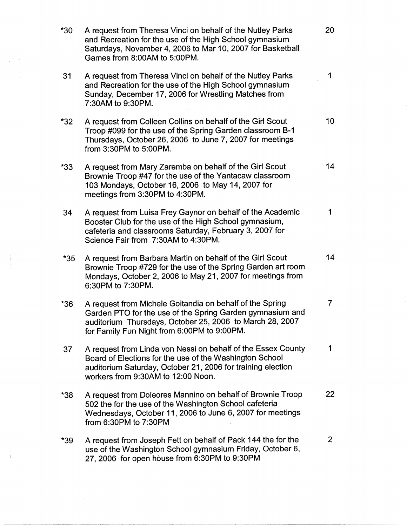| $*30$ | A request from Theresa Vinci on behalf of the Nutley Parks<br>and Recreation for the use of the High School gymnasium<br>Saturdays, November 4, 2006 to Mar 10, 2007 for Basketball<br>Games from 8:00AM to 5:00PM.              | 20             |
|-------|----------------------------------------------------------------------------------------------------------------------------------------------------------------------------------------------------------------------------------|----------------|
| 31    | A request from Theresa Vinci on behalf of the Nutley Parks<br>and Recreation for the use of the High School gymnasium<br>Sunday, December 17, 2006 for Wrestling Matches from<br>7:30AM to 9:30PM.                               | 1              |
| $*32$ | A request from Colleen Collins on behalf of the Girl Scout<br>Troop #099 for the use of the Spring Garden classroom B-1<br>Thursdays, October 26, 2006 to June 7, 2007 for meetings<br>from 3:30PM to 5:00PM.                    | $10 -$         |
| $*33$ | A request from Mary Zaremba on behalf of the Girl Scout<br>Brownie Troop #47 for the use of the Yantacaw classroom<br>103 Mondays, October 16, 2006 to May 14, 2007 for<br>meetings from 3:30PM to 4:30PM.                       | 14             |
| 34    | A request from Luisa Frey Gaynor on behalf of the Academic<br>Booster Club for the use of the High School gymnasium,<br>cafeteria and classrooms Saturday, February 3, 2007 for<br>Science Fair from 7:30AM to 4:30PM.           | 1              |
| $*35$ | A request from Barbara Martin on behalf of the Girl Scout<br>Brownie Troop #729 for the use of the Spring Garden art room<br>Mondays, October 2, 2006 to May 21, 2007 for meetings from<br>6:30PM to 7:30PM.                     | 14             |
| $*36$ | A request from Michele Goitandia on behalf of the Spring<br>Garden PTO for the use of the Spring Garden gymnasium and<br>auditorium Thursdays, October 25, 2006 to March 28, 2007<br>for Family Fun Night from 6:00PM to 9:00PM. | 7              |
| 37    | A request from Linda von Nessi on behalf of the Essex County<br>Board of Elections for the use of the Washington School<br>auditorium Saturday, October 21, 2006 for training election<br>workers from 9:30AM to 12:00 Noon.     | 1              |
| *38   | A request from Doleores Mannino on behalf of Brownie Troop<br>502 the for the use of the Washington School cafeteria<br>Wednesdays, October 11, 2006 to June 6, 2007 for meetings<br>from 6:30PM to 7:30PM                       | 22             |
| *39   | A request from Joseph Fett on behalf of Pack 144 the for the<br>use of the Washington School gymnasium Friday, October 6,<br>27, 2006 for open house from 6:30PM to 9:30PM                                                       | $\overline{2}$ |

 $\frac{1}{2}\sum_{i=1}^{N-1}\frac{1}{2}\sum_{j=1}^{N-1}\frac{1}{2}\sum_{j=1}^{N-1}\frac{1}{2}\sum_{j=1}^{N-1}\frac{1}{2}\sum_{j=1}^{N-1}\frac{1}{2}\sum_{j=1}^{N-1}\frac{1}{2}\sum_{j=1}^{N-1}\frac{1}{2}\sum_{j=1}^{N-1}\frac{1}{2}\sum_{j=1}^{N-1}\frac{1}{2}\sum_{j=1}^{N-1}\frac{1}{2}\sum_{j=1}^{N-1}\frac{1}{2}\sum_{j=1}^{N-1}\frac{1}{2}\sum_{j=1}^{N-$ 

 $\frac{1}{4}$ 

 $\frac{1}{2} \frac{1}{2} \frac{1}{2} \frac{1}{2} \frac{1}{2}$